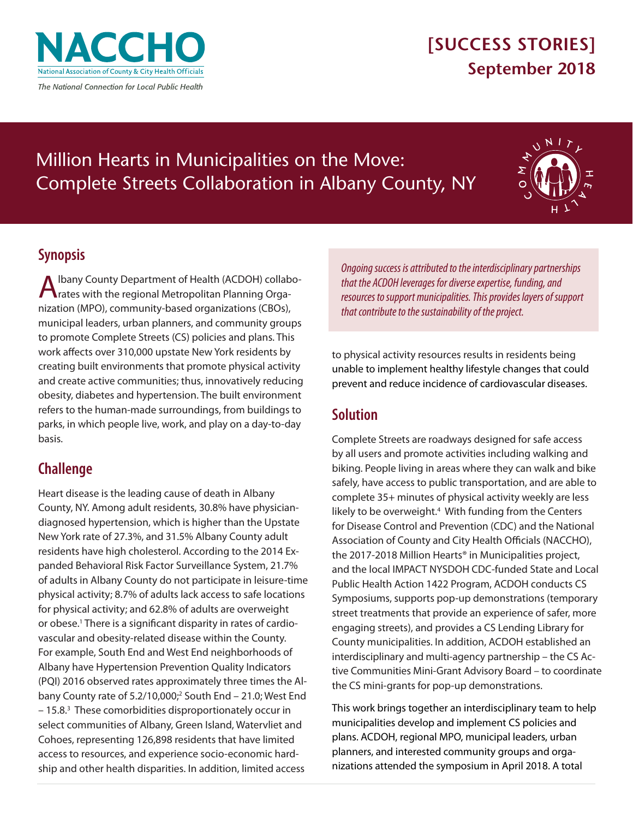<span id="page-0-0"></span>

## **[SUCCESS STORIES] September 2018**

# Million Hearts in Municipalities on the Move: Complete Streets Collaboration in Albany County, NY



### **Synopsis**

Ibany County Department of Health (ACDOH) collaborates with the regional Metropolitan Planning Organization (MPO), community-based organizations (CBOs), municipal leaders, urban planners, and community groups to promote Complete Streets (CS) policies and plans. This work affects over 310,000 upstate New York residents by creating built environments that promote physical activity and create active communities; thus, innovatively reducing obesity, diabetes and hypertension. The built environment refers to the human-made surroundings, from buildings to parks, in which people live, work, and play on a day-to-day basis.

### **Challenge**

Heart disease is the leading cause of death in Albany County, NY. Among adult residents, 30.8% have physiciandiagnosed hypertension, which is higher than the Upstate New York rate of 27.3%, and 31.5% Albany County adult residents have high cholesterol. According to the 2014 Expanded Behavioral Risk Factor Surveillance System, 21.7% of adults in Albany County do not participate in leisure-time physical activity; 8.7% of adults lack access to safe locations for physical activity; and 62.8% of adults are overweight or obese.<sup>[1](#page-2-0)</sup> There is a significant disparity in rates of cardiovascular and obesity-related disease within the County. For example, South End and West End neighborhoods of Albany have Hypertension Prevention Quality Indicators (PQI) 2016 observed rates approximately three times the Albany County rate of 5.2/10,000;<sup>2</sup> South End - 21.0; West End - 15.8.<sup>[3](#page-2-0)</sup> These comorbidities disproportionately occur in select communities of Albany, Green Island, Watervliet and Cohoes, representing 126,898 residents that have limited access to resources, and experience socio-economic hardship and other health disparities. In addition, limited access

*Ongoing success is attributed to the interdisciplinary partnerships that the ACDOH leverages for diverse expertise, funding, and resources to support municipalities. This provides layers of support that contribute to the sustainability of the project.* 

to physical activity resources results in residents being unable to implement healthy lifestyle changes that could prevent and reduce incidence of cardiovascular diseases.

### **Solution**

Complete Streets are roadways designed for safe access by all users and promote activities including walking and biking. People living in areas where they can walk and bike safely, have access to public transportation, and are able to complete 35+ minutes of physical activity weekly are less likely to be overweight.<sup>4</sup> With funding from the Centers for Disease Control and Prevention (CDC) and the National Association of County and City Health Officials (NACCHO), the 2017-2018 Million Hearts® in Municipalities project, and the local IMPACT NYSDOH CDC-funded State and Local Public Health Action 1422 Program, ACDOH conducts CS Symposiums, supports pop-up demonstrations (temporary street treatments that provide an experience of safer, more engaging streets), and provides a CS Lending Library for County municipalities. In addition, ACDOH established an interdisciplinary and multi-agency partnership – the CS Active Communities Mini-Grant Advisory Board – to coordinate the CS mini-grants for pop-up demonstrations.

This work brings together an interdisciplinary team to help municipalities develop and implement CS policies and plans. ACDOH, regional MPO, municipal leaders, urban planners, and interested community groups and organizations attended the symposium in April 2018. A total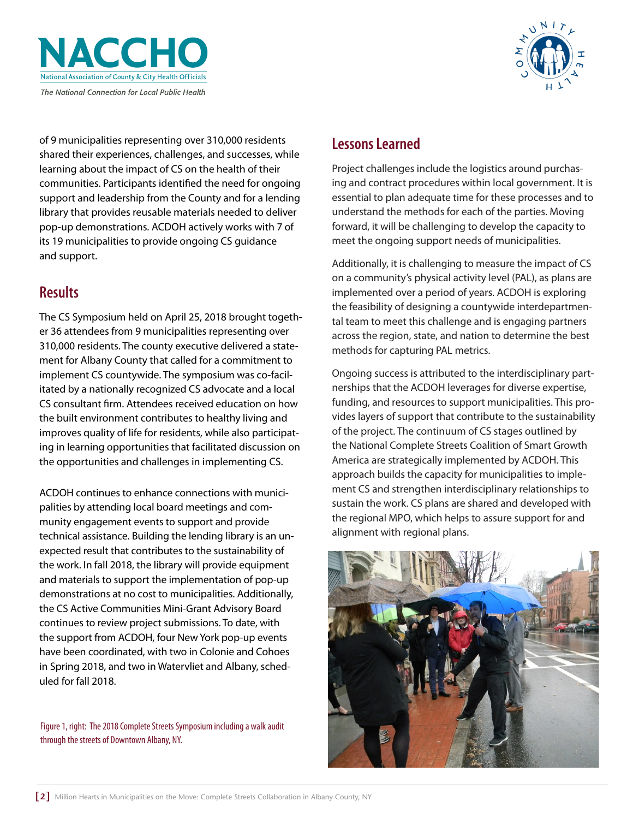



of 9 municipalities representing over 310,000 residents shared their experiences, challenges, and successes, while learning about the impact of CS on the health of their communities. Participants identified the need for ongoing support and leadership from the County and for a lending library that provides reusable materials needed to deliver pop-up demonstrations. ACDOH actively works with 7 of its 19 municipalities to provide ongoing CS guidance and support.

#### **Results**

The CS Symposium held on April 25, 2018 brought together 36 attendees from 9 municipalities representing over 310,000 residents. The county executive delivered a statement for Albany County that called for a commitment to implement CS countywide. The symposium was co-facilitated by a nationally recognized CS advocate and a local CS consultant firm. Attendees received education on how the built environment contributes to healthy living and improves quality of life for residents, while also participating in learning opportunities that facilitated discussion on the opportunities and challenges in implementing CS.

ACDOH continues to enhance connections with municipalities by attending local board meetings and community engagement events to support and provide technical assistance. Building the lending library is an unexpected result that contributes to the sustainability of the work. In fall 2018, the library will provide equipment and materials to support the implementation of pop-up demonstrations at no cost to municipalities. Additionally, the CS Active Communities Mini-Grant Advisory Board continues to review project submissions. To date, with the support from ACDOH, four New York pop-up events have been coordinated, with two in Colonie and Cohoes in Spring 2018, and two in Watervliet and Albany, scheduled for fall 2018.

Figure 1, right: The 2018 Complete Streets Symposium including a walk audit through the streets of Downtown Albany, NY.

#### **Lessons Learned**

Project challenges include the logistics around purchasing and contract procedures within local government. It is essential to plan adequate time for these processes and to understand the methods for each of the parties. Moving forward, it will be challenging to develop the capacity to meet the ongoing support needs of municipalities.

Additionally, it is challenging to measure the impact of CS on a community's physical activity level (PAL), as plans are implemented over a period of years. ACDOH is exploring the feasibility of designing a countywide interdepartmental team to meet this challenge and is engaging partners across the region, state, and nation to determine the best methods for capturing PAL metrics.

Ongoing success is attributed to the interdisciplinary partnerships that the ACDOH leverages for diverse expertise, funding, and resources to support municipalities. This provides layers of support that contribute to the sustainability of the project. The continuum of CS stages outlined by the National Complete Streets Coalition of Smart Growth America are strategically implemented by ACDOH. This approach builds the capacity for municipalities to implement CS and strengthen interdisciplinary relationships to sustain the work. CS plans are shared and developed with the regional MPO, which helps to assure support for and alignment with regional plans.